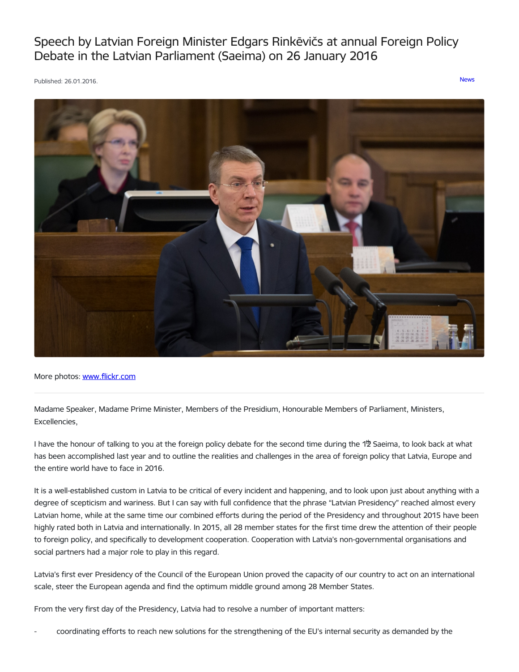# Speech by Latvian Foreign Minister Edgars Rinkēvičs at annual Foreign Policy Debate in the Latvian Parliament (Saeima) on 26 January 2016

Published: 26.01.2016. [News](https://www.mfa.gov.lv/en/articles?category%255B253%255D=253)



More photos: [www.flickr.com](https://www.flickr.com/photos/saeima/with/24621815575)

Madame Speaker, Madame Prime Minister, Members of the Presidium, Honourable Members of Parliament, Ministers, Excellencies,

I have the honour of talking to you at the foreign policy debate for the second time during the 1<sup>th</sup> Saeima, to look back at what has been accomplished last year and to outline the realities and challenges in the area of foreign policy that Latvia, Europe and the entire world have to face in 2016.

It is a well-established custom in Latvia to be critical of every incident and happening, and to look upon just about anything with a degree of scepticism and wariness. But I can say with full confidence that the phrase "Latvian Presidency" reached almost every Latvian home, while at the same time our combined efforts during the period of the Presidency and throughout 2015 have been highly rated both in Latvia and internationally. In 2015, all 28 member states for the first time drew the attention of their people to foreign policy, and specifically to development cooperation. Cooperation with Latvia's non-governmental organisations and social partners had a major role to play in this regard.

Latvia's first ever Presidency of the Council of the European Union proved the capacity of our country to act on an international scale, steer the European agenda and find the optimum middle ground among 28 Member States.

From the very first day of the Presidency, Latvia had to resolve a number of important matters:

- coordinating efforts to reach new solutions for the strengthening of the EU's internal security as demanded by the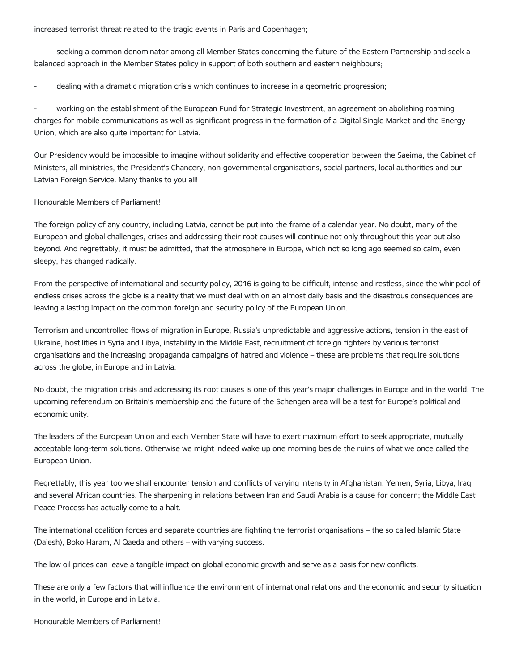increased terrorist threat related to the tragic events in Paris and Copenhagen;

seeking a common denominator among all Member States concerning the future of the Eastern Partnership and seek a balanced approach in the Member States policy in support of both southern and eastern neighbours;

dealing with a dramatic migration crisis which continues to increase in a geometric progression;

working on the establishment of the European Fund for Strategic Investment, an agreement on abolishing roaming charges for mobile communications as well as significant progress in the formation of a Digital Single Market and the Energy Union, which are also quite important for Latvia.

Our Presidency would be impossible to imagine without solidarity and effective cooperation between the Saeima, the Cabinet of Ministers, all ministries, the President's Chancery, non-governmental organisations, social partners, local authorities and our Latvian Foreign Service. Many thanks to you all!

# Honourable Members of Parliament!

The foreign policy of any country, including Latvia, cannot be put into the frame of a calendar year. No doubt, many of the European and global challenges, crises and addressing their root causes will continue not only throughout this year but also beyond. And regrettably, it must be admitted, that the atmosphere in Europe, which not so long ago seemed so calm, even sleepy, has changed radically.

From the perspective of international and security policy, 2016 is going to be difficult, intense and restless, since the whirlpool of endless crises across the globe is a reality that we must deal with on an almost daily basis and the disastrous consequences are leaving a lasting impact on the common foreign and security policy of the European Union.

Terrorism and uncontrolled flows of migration in Europe, Russia's unpredictable and aggressive actions, tension in the east of Ukraine, hostilities in Syria and Libya, instability in the Middle East, recruitment of foreign fighters by various terrorist organisations and the increasing propaganda campaigns of hatred and violence – these are problems that require solutions across the globe, in Europe and in Latvia.

No doubt, the migration crisis and addressing its root causes is one of this year's major challenges in Europe and in the world. The upcoming referendum on Britain's membership and the future of the Schengen area will be a test for Europe's political and economic unity.

The leaders of the European Union and each Member State will have to exert maximum effort to seek appropriate, mutually acceptable long-term solutions. Otherwise we might indeed wake up one morning beside the ruins of what we once called the European Union.

Regrettably, this year too we shall encounter tension and conflicts of varying intensity in Afghanistan, Yemen, Syria, Libya, Iraq and several African countries. The sharpening in relations between Iran and Saudi Arabia is a cause for concern; the Middle East Peace Process has actually come to a halt.

The international coalition forces and separate countries are fighting the terrorist organisations – the so called Islamic State (Da'esh), Boko Haram, Al Qaeda and others – with varying success.

The low oil prices can leave a tangible impact on global economic growth and serve as a basis for new conflicts.

These are only a few factors that will influence the environment of international relations and the economic and security situation in the world, in Europe and in Latvia.

Honourable Members of Parliament!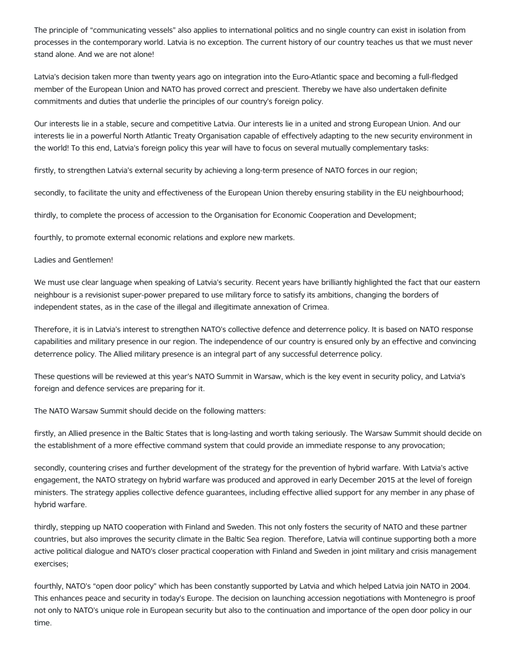The principle of "communicating vessels" also applies to international politics and no single country can exist in isolation from processes in the contemporary world. Latvia is no exception. The current history of our country teaches us that we must never stand alone. And we are not alone!

Latvia's decision taken more than twenty years ago on integration into the Euro-Atlantic space and becoming a full-fledged member of the European Union and NATO has proved correct and prescient. Thereby we have also undertaken definite commitments and duties that underlie the principles of our country's foreign policy.

Our interests lie in a stable, secure and competitive Latvia. Our interests lie in a united and strong European Union. And our interests lie in a powerful North Atlantic Treaty Organisation capable of effectively adapting to the new security environment in the world! To this end, Latvia's foreign policy this year will have to focus on several mutually complementary tasks:

firstly, to strengthen Latvia's external security by achieving a long-term presence of NATO forces in our region;

secondly, to facilitate the unity and effectiveness of the European Union thereby ensuring stability in the EU neighbourhood;

thirdly, to complete the process of accession to the Organisation for Economic Cooperation and Development;

fourthly, to promote external economic relations and explore new markets.

## Ladies and Gentlemen!

We must use clear language when speaking of Latvia's security. Recent years have brilliantly highlighted the fact that our eastern neighbour is a revisionist super-power prepared to use military force to satisfy its ambitions, changing the borders of independent states, as in the case of the illegal and illegitimate annexation of Crimea.

Therefore, it is in Latvia's interest to strengthen NATO's collective defence and deterrence policy. It is based on NATO response capabilities and military presence in our region. The independence of our country is ensured only by an effective and convincing deterrence policy. The Allied military presence is an integral part of any successful deterrence policy.

These questions will be reviewed at this year's NATO Summit in Warsaw, which is the key event in security policy, and Latvia's foreign and defence services are preparing for it.

The NATO Warsaw Summit should decide on the following matters:

firstly, an Allied presence in the Baltic States that is long-lasting and worth taking seriously. The Warsaw Summit should decide on the establishment of a more effective command system that could provide an immediate response to any provocation;

secondly, countering crises and further development of the strategy for the prevention of hybrid warfare. With Latvia's active engagement, the NATO strategy on hybrid warfare was produced and approved in early December 2015 at the level of foreign ministers. The strategy applies collective defence guarantees, including effective allied support for any member in any phase of hybrid warfare.

thirdly, stepping up NATO cooperation with Finland and Sweden. This not only fosters the security of NATO and these partner countries, but also improves the security climate in the Baltic Sea region. Therefore, Latvia will continue supporting both a more active political dialogue and NATO's closer practical cooperation with Finland and Sweden in joint military and crisis management exercises;

fourthly, NATO's "open door policy" which has been constantly supported by Latvia and which helped Latvia join NATO in 2004. This enhances peace and security in today's Europe. The decision on launching accession negotiations with Montenegro is proof not only to NATO's unique role in European security but also to the continuation and importance of the open door policy in our time.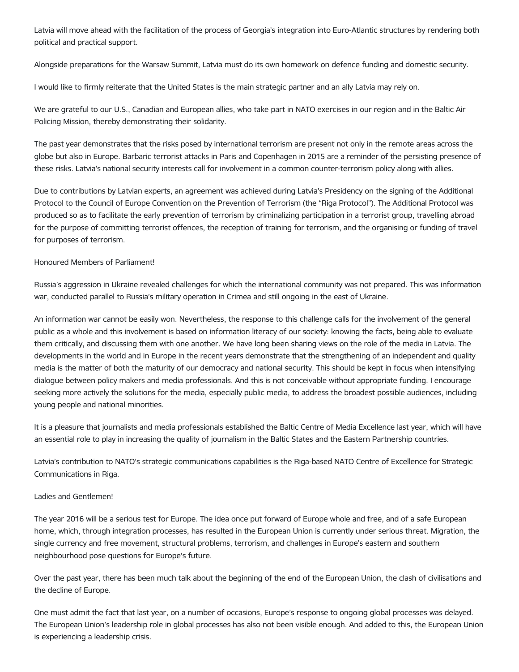Latvia will move ahead with the facilitation of the process of Georgia's integration into Euro-Atlantic structures by rendering both political and practical support.

Alongside preparations for the Warsaw Summit, Latvia must do its own homework on defence funding and domestic security.

I would like to firmly reiterate that the United States is the main strategic partner and an ally Latvia may rely on.

We are grateful to our U.S., Canadian and European allies, who take part in NATO exercises in our region and in the Baltic Air Policing Mission, thereby demonstrating their solidarity.

The past year demonstrates that the risks posed by international terrorism are present not only in the remote areas across the globe but also in Europe. Barbaric terrorist attacks in Paris and Copenhagen in 2015 are a reminder of the persisting presence of these risks. Latvia's national security interests call for involvement in a common counter-terrorism policy along with allies.

Due to contributions by Latvian experts, an agreement was achieved during Latvia's Presidency on the signing of the Additional Protocol to the Council of Europe Convention on the Prevention of Terrorism (the "Riga Protocol"). The Additional Protocol was produced so as to facilitate the early prevention of terrorism by criminalizing participation in a terrorist group, travelling abroad for the purpose of committing terrorist offences, the reception of training for terrorism, and the organising or funding of travel for purposes of terrorism.

## Honoured Members of Parliament!

Russia's aggression in Ukraine revealed challenges for which the international community was not prepared. This was information war, conducted parallel to Russia's military operation in Crimea and still ongoing in the east of Ukraine.

An information war cannot be easily won. Nevertheless, the response to this challenge calls for the involvement of the general public as a whole and this involvement is based on information literacy of our society: knowing the facts, being able to evaluate them critically, and discussing them with one another. We have long been sharing views on the role of the media in Latvia. The developments in the world and in Europe in the recent years demonstrate that the strengthening of an independent and quality media is the matter of both the maturity of our democracy and national security. This should be kept in focus when intensifying dialogue between policy makers and media professionals. And this is not conceivable without appropriate funding. I encourage seeking more actively the solutions for the media, especially public media, to address the broadest possible audiences, including young people and national minorities.

It is a pleasure that journalists and media professionals established the Baltic Centre of Media Excellence last year, which will have an essential role to play in increasing the quality of journalism in the Baltic States and the Eastern Partnership countries.

Latvia's contribution to NATO's strategic communications capabilities is the Riga-based NATO Centre of Excellence for Strategic Communications in Riga.

## Ladies and Gentlemen!

The year 2016 will be a serious test for Europe. The idea once put forward of Europe whole and free, and of a safe European home, which, through integration processes, has resulted in the European Union is currently under serious threat. Migration, the single currency and free movement, structural problems, terrorism, and challenges in Europe's eastern and southern neighbourhood pose questions for Europe's future.

Over the past year, there has been much talk about the beginning of the end of the European Union, the clash of civilisations and the decline of Europe.

One must admit the fact that last year, on a number of occasions, Europe's response to ongoing global processes was delayed. The European Union's leadership role in global processes has also not been visible enough. And added to this, the European Union is experiencing a leadership crisis.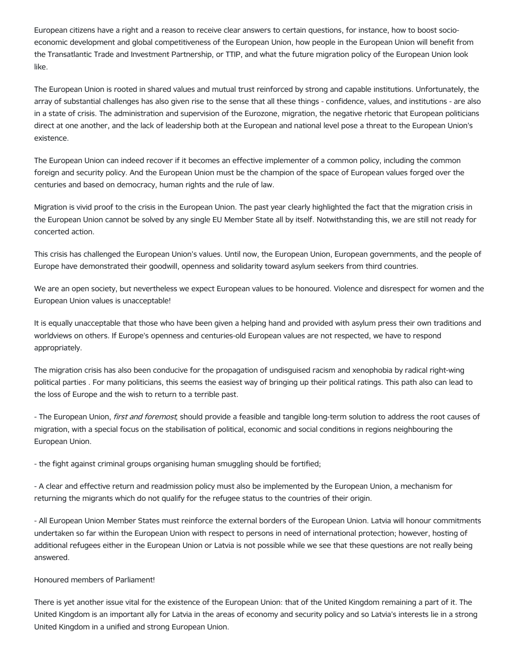European citizens have a right and a reason to receive clear answers to certain questions, for instance, how to boost socioeconomic development and global competitiveness of the European Union, how people in the European Union will benefit from the Transatlantic Trade and Investment Partnership, or TTIP, and what the future migration policy of the European Union look like.

The European Union is rooted in shared values and mutual trust reinforced by strong and capable institutions. Unfortunately, the array of substantial challenges has also given rise to the sense that all these things - confidence, values, and institutions - are also in a state of crisis. The administration and supervision of the Eurozone, migration, the negative rhetoric that European politicians direct at one another, and the lack of leadership both at the European and national level pose a threat to the European Union's existence.

The European Union can indeed recover if it becomes an effective implementer of a common policy, including the common foreign and security policy. And the European Union must be the champion of the space of European values forged over the centuries and based on democracy, human rights and the rule of law.

Migration is vivid proof to the crisis in the European Union. The past year clearly highlighted the fact that the migration crisis in the European Union cannot be solved by any single EU Member State all by itself. Notwithstanding this, we are still not ready for concerted action.

This crisis has challenged the European Union's values. Until now, the European Union, European governments, and the people of Europe have demonstrated their goodwill, openness and solidarity toward asylum seekers from third countries.

We are an open society, but nevertheless we expect European values to be honoured. Violence and disrespect for women and the European Union values is unacceptable!

It is equally unacceptable that those who have been given a helping hand and provided with asylum press their own traditions and worldviews on others. If Europe's openness and centuries-old European values are not respected, we have to respond appropriately.

The migration crisis has also been conducive for the propagation of undisguised racism and xenophobia by radical right-wing political parties . For many politicians, this seems the easiest way of bringing up their political ratings. This path also can lead to the loss of Europe and the wish to return to a terrible past.

- The European Union, *first and foremost*, should provide a feasible and tangible long-term solution to address the root causes of migration, with a special focus on the stabilisation of political, economic and social conditions in regions neighbouring the European Union.

- the fight against criminal groups organising human smuggling should be fortified;

- A clear and effective return and readmission policy must also be implemented by the European Union, a mechanism for returning the migrants which do not qualify for the refugee status to the countries of their origin.

- All European Union Member States must reinforce the external borders of the European Union. Latvia will honour commitments undertaken so far within the European Union with respect to persons in need of international protection; however, hosting of additional refugees either in the European Union or Latvia is not possible while we see that these questions are not really being answered.

#### Honoured members of Parliament!

There is yet another issue vital for the existence of the European Union: that of the United Kingdom remaining a part of it. The United Kingdom is an important ally for Latvia in the areas of economy and security policy and so Latvia's interests lie in a strong United Kingdom in a unified and strong European Union.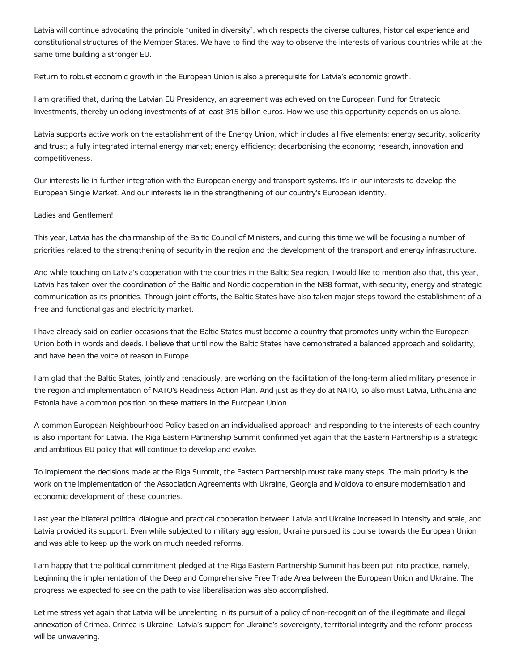Latvia will continue advocating the principle "united in diversity", which respects the diverse cultures, historical experience and constitutional structures of the Member States. We have to find the way to observe the interests of various countries while at the same time building a stronger EU.

Return to robust economic growth in the European Union is also a prerequisite for Latvia's economic growth.

I am gratified that, during the Latvian EU Presidency, an agreement was achieved on the European Fund for Strategic Investments, thereby unlocking investments of at least 315 billion euros. How we use this opportunity depends on us alone.

Latvia supports active work on the establishment of the Energy Union, which includes all five elements: energy security, solidarity and trust; a fully integrated internal energy market; energy efficiency; decarbonising the economy; research, innovation and competitiveness.

Our interests lie in further integration with the European energy and transport systems. It's in our interests to develop the European Single Market. And our interests lie in the strengthening of our country's European identity.

## Ladies and Gentlemen!

This year, Latvia has the chairmanship of the Baltic Council of Ministers, and during this time we will be focusing a number of priorities related to the strengthening of security in the region and the development of the transport and energy infrastructure.

And while touching on Latvia's cooperation with the countries in the Baltic Sea region, I would like to mention also that, this year, Latvia has taken over the coordination of the Baltic and Nordic cooperation in the NB8 format, with security, energy and strategic communication as its priorities. Through joint efforts, the Baltic States have also taken major steps toward the establishment of a free and functional gas and electricity market.

I have already said on earlier occasions that the Baltic States must become a country that promotes unity within the European Union both in words and deeds. I believe that until now the Baltic States have demonstrated a balanced approach and solidarity, and have been the voice of reason in Europe.

I am glad that the Baltic States, jointly and tenaciously, are working on the facilitation of the long-term allied military presence in the region and implementation of NATO's Readiness Action Plan. And just as they do at NATO, so also must Latvia, Lithuania and Estonia have a common position on these matters in the European Union.

A common European Neighbourhood Policy based on an individualised approach and responding to the interests of each country is also important for Latvia. The Riga Eastern Partnership Summit confirmed yet again that the Eastern Partnership is a strategic and ambitious EU policy that will continue to develop and evolve.

To implement the decisions made at the Riga Summit, the Eastern Partnership must take many steps. The main priority is the work on the implementation of the Association Agreements with Ukraine, Georgia and Moldova to ensure modernisation and economic development of these countries.

Last year the bilateral political dialogue and practical cooperation between Latvia and Ukraine increased in intensity and scale, and Latvia provided its support. Even while subjected to military aggression, Ukraine pursued its course towards the European Union and was able to keep up the work on much needed reforms.

I am happy that the political commitment pledged at the Riga Eastern Partnership Summit has been put into practice, namely, beginning the implementation of the Deep and Comprehensive Free Trade Area between the European Union and Ukraine. The progress we expected to see on the path to visa liberalisation was also accomplished.

Let me stress yet again that Latvia will be unrelenting in its pursuit of a policy of non-recognition of the illegitimate and illegal annexation of Crimea. Crimea is Ukraine! Latvia's support for Ukraine's sovereignty, territorial integrity and the reform process will be unwavering.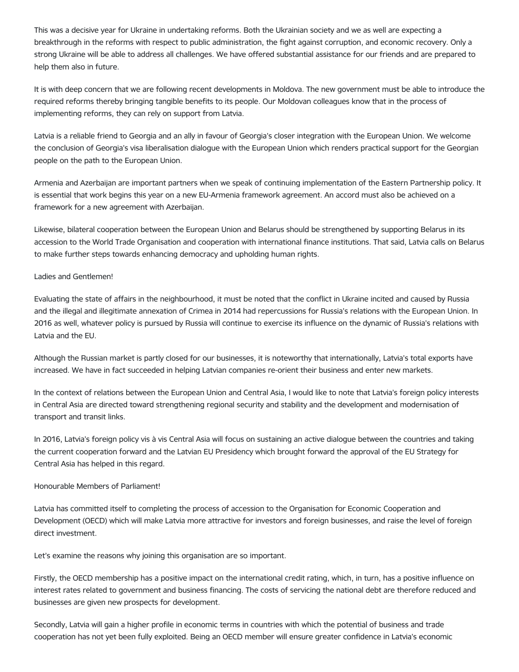This was a decisive year for Ukraine in undertaking reforms. Both the Ukrainian society and we as well are expecting a breakthrough in the reforms with respect to public administration, the fight against corruption, and economic recovery. Only a strong Ukraine will be able to address all challenges. We have offered substantial assistance for our friends and are prepared to help them also in future.

It is with deep concern that we are following recent developments in Moldova. The new government must be able to introduce the required reforms thereby bringing tangible benefits to its people. Our Moldovan colleagues know that in the process of implementing reforms, they can rely on support from Latvia.

Latvia is a reliable friend to Georgia and an ally in favour of Georgia's closer integration with the European Union. We welcome the conclusion of Georgia's visa liberalisation dialogue with the European Union which renders practical support for the Georgian people on the path to the European Union.

Armenia and Azerbaijan are important partners when we speak of continuing implementation of the Eastern Partnership policy. It is essential that work begins this year on a new EU-Armenia framework agreement. An accord must also be achieved on a framework for a new agreement with Azerbaijan.

Likewise, bilateral cooperation between the European Union and Belarus should be strengthened by supporting Belarus in its accession to the World Trade Organisation and cooperation with international finance institutions. That said, Latvia calls on Belarus to make further steps towards enhancing democracy and upholding human rights.

# Ladies and Gentlemen!

Evaluating the state of affairs in the neighbourhood, it must be noted that the conflict in Ukraine incited and caused by Russia and the illegal and illegitimate annexation of Crimea in 2014 had repercussions for Russia's relations with the European Union. In 2016 as well, whatever policy is pursued by Russia will continue to exercise its influence on the dynamic of Russia's relations with Latvia and the EU.

Although the Russian market is partly closed for our businesses, it is noteworthy that internationally, Latvia's total exports have increased. We have in fact succeeded in helping Latvian companies re-orient their business and enter new markets.

In the context of relations between the European Union and Central Asia, I would like to note that Latvia's foreign policy interests in Central Asia are directed toward strengthening regional security and stability and the development and modernisation of transport and transit links.

In 2016, Latvia's foreign policy vis à vis Central Asia will focus on sustaining an active dialogue between the countries and taking the current cooperation forward and the Latvian EU Presidency which brought forward the approval of the EU Strategy for Central Asia has helped in this regard.

# Honourable Members of Parliament!

Latvia has committed itself to completing the process of accession to the Organisation for Economic Cooperation and Development (OECD) which will make Latvia more attractive for investors and foreign businesses, and raise the level of foreign direct investment.

Let's examine the reasons why joining this organisation are so important.

Firstly, the OECD membership has a positive impact on the international credit rating, which, in turn, has a positive influence on interest rates related to government and business financing. The costs of servicing the national debt are therefore reduced and businesses are given new prospects for development.

Secondly, Latvia will gain a higher profile in economic terms in countries with which the potential of business and trade cooperation has not yet been fully exploited. Being an OECD member will ensure greater confidence in Latvia's economic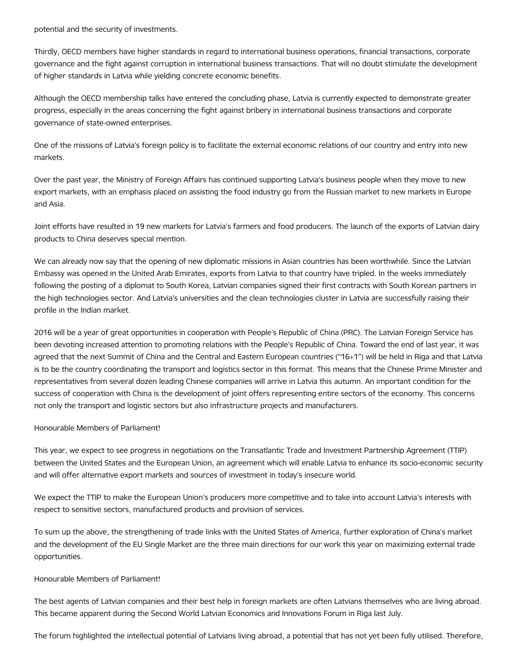potential and the security of investments.

Thirdly, OECD members have higher standards in regard to international business operations, financial transactions, corporate governance and the fight against corruption in international business transactions. That will no doubt stimulate the development of higher standards in Latvia while yielding concrete economic benefits.

Although the OECD membership talks have entered the concluding phase, Latvia is currently expected to demonstrate greater progress, especially in the areas concerning the fight against bribery in international business transactions and corporate governance of state-owned enterprises.

One of the missions of Latvia's foreign policy is to facilitate the external economic relations of our country and entry into new markets.

Over the past year, the Ministry of Foreign Affairs has continued supporting Latvia's business people when they move to new export markets, with an emphasis placed on assisting the food industry go from the Russian market to new markets in Europe and Asia.

Joint efforts have resulted in 19 new markets for Latvia's farmers and food producers. The launch of the exports of Latvian dairy products to China deserves special mention.

We can already now say that the opening of new diplomatic missions in Asian countries has been worthwhile. Since the Latvian Embassy was opened in the United Arab Emirates, exports from Latvia to that country have tripled. In the weeks immediately following the posting of a diplomat to South Korea, Latvian companies signed their first contracts with South Korean partners in the high technologies sector. And Latvia's universities and the clean technologies cluster in Latvia are successfully raising their profile in the Indian market.

2016 will be a year of great opportunities in cooperation with People's Republic of China (PRC). The Latvian Foreign Service has been devoting increased attention to promoting relations with the People's Republic of China. Toward the end of last year, it was agreed that the next Summit of China and the Central and Eastern European countries ("16+1") will be held in Riga and that Latvia is to be the country coordinating the transport and logistics sector in this format. This means that the Chinese Prime Minister and representatives from several dozen leading Chinese companies will arrive in Latvia this autumn. An important condition for the success of cooperation with China is the development of joint offers representing entire sectors of the economy. This concerns not only the transport and logistic sectors but also infrastructure projects and manufacturers.

#### Honourable Members of Parliament!

This year, we expect to see progress in negotiations on the Transatlantic Trade and Investment Partnership Agreement (TTIP) between the United States and the European Union, an agreement which will enable Latvia to enhance its socio-economic security and will offer alternative export markets and sources of investment in today's insecure world.

We expect the TTIP to make the European Union's producers more competitive and to take into account Latvia's interests with respect to sensitive sectors, manufactured products and provision of services.

To sum up the above, the strengthening of trade links with the United States of America, further exploration of China's market and the development of the EU Single Market are the three main directions for our work this year on maximizing external trade opportunities.

## Honourable Members of Parliament!

The best agents of Latvian companies and their best help in foreign markets are often Latvians themselves who are living abroad. This became apparent during the Second World Latvian Economics and Innovations Forum in Riga last July.

The forum highlighted the intellectual potential of Latvians living abroad, a potential that has not yet been fully utilised. Therefore,